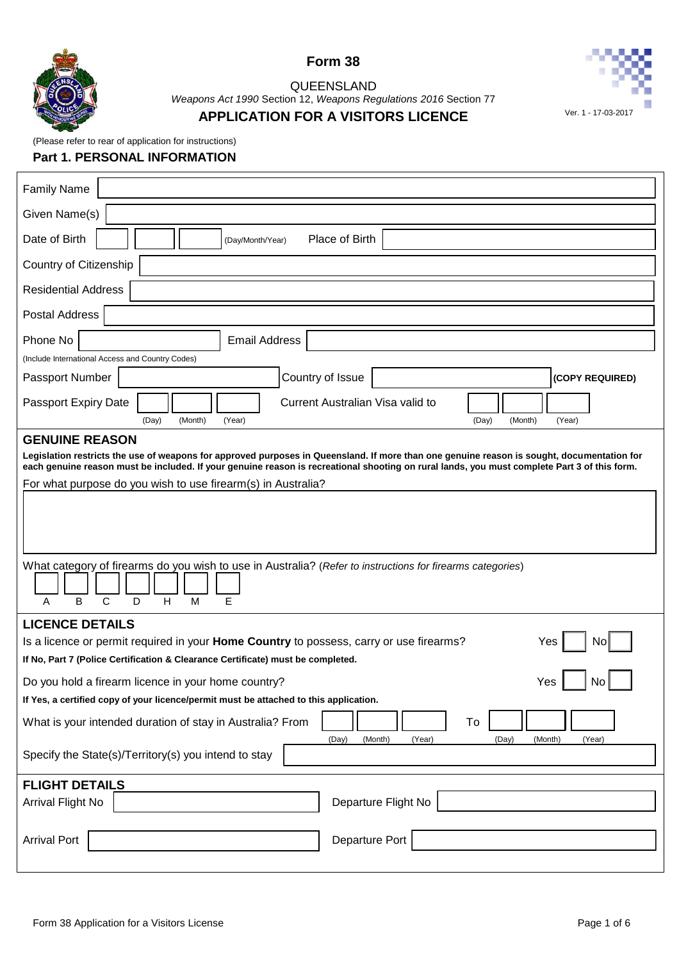

 $\overline{1}$ 





# QUEENSLAND *Weapons Act 1990* Section 12, *Weapons Regulations 2016* Section 77

# **APPLICATION FOR A VISITORS LICENCE** Ver. 1 - 17-03-2017

(Please refer to rear of application for instructions)

# **Part 1. PERSONAL INFORMATION**

| <b>Family Name</b>                                                                                                                                                                                           |
|--------------------------------------------------------------------------------------------------------------------------------------------------------------------------------------------------------------|
| Given Name(s)                                                                                                                                                                                                |
| Date of Birth<br>Place of Birth<br>(Day/Month/Year)                                                                                                                                                          |
| Country of Citizenship                                                                                                                                                                                       |
| <b>Residential Address</b>                                                                                                                                                                                   |
| Postal Address                                                                                                                                                                                               |
| Phone No<br><b>Email Address</b>                                                                                                                                                                             |
| (Include International Access and Country Codes)<br>Country of Issue<br>Passport Number                                                                                                                      |
| (COPY REQUIRED)                                                                                                                                                                                              |
| Current Australian Visa valid to<br>Passport Expiry Date<br>(Day)<br>(Month)<br>(Year)                                                                                                                       |
| (Year)<br>(Day)<br>(Month)<br><b>GENUINE REASON</b>                                                                                                                                                          |
| Legislation restricts the use of weapons for approved purposes in Queensland. If more than one genuine reason is sought, documentation for                                                                   |
| each genuine reason must be included. If your genuine reason is recreational shooting on rural lands, you must complete Part 3 of this form.<br>For what purpose do you wish to use firearm(s) in Australia? |
|                                                                                                                                                                                                              |
| What category of firearms do you wish to use in Australia? (Refer to instructions for firearms categories)<br>B<br>$\mathsf{C}$<br>D<br>H<br>M<br>E<br>A                                                     |
| <b>LICENCE DETAILS</b>                                                                                                                                                                                       |
| Is a licence or permit required in your Home Country to possess, carry or use firearms?<br>Yes<br>No                                                                                                         |
| If No, Part 7 (Police Certification & Clearance Certificate) must be completed.                                                                                                                              |
| Do you hold a firearm licence in your home country?<br>Yes<br>Νo                                                                                                                                             |
| If Yes, a certified copy of your licence/permit must be attached to this application.                                                                                                                        |
| What is your intended duration of stay in Australia? From<br>To<br>(Day)<br>(Month)<br>(Year)<br>(Day)<br>(Month)<br>(Year)                                                                                  |
| Specify the State(s)/Territory(s) you intend to stay                                                                                                                                                         |
| <b>FLIGHT DETAILS</b>                                                                                                                                                                                        |
| <b>Arrival Flight No</b><br>Departure Flight No                                                                                                                                                              |
| Departure Port<br><b>Arrival Port</b>                                                                                                                                                                        |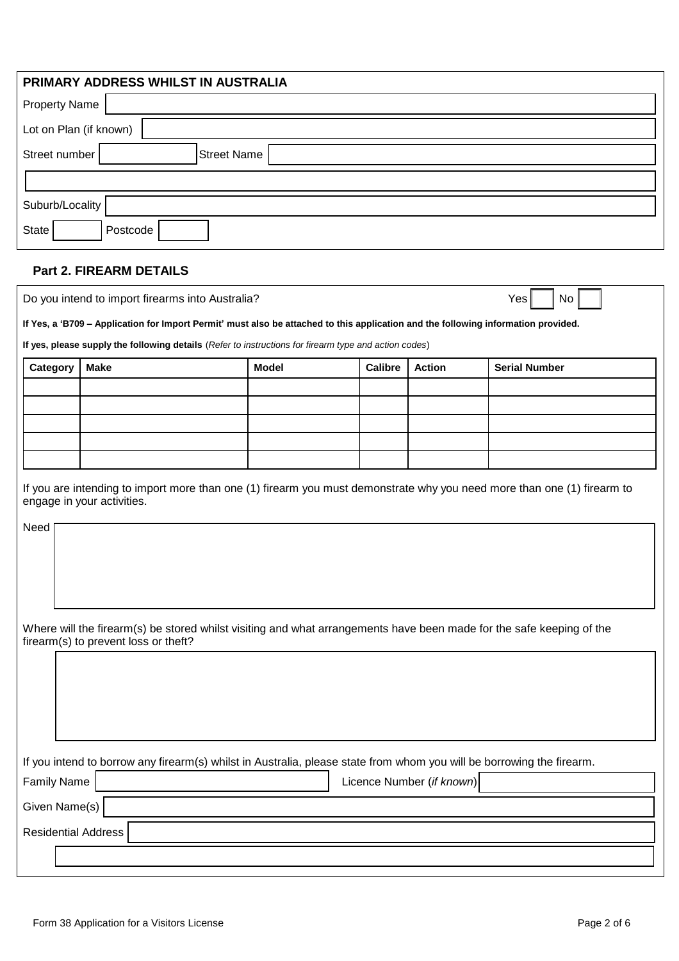| PRIMARY ADDRESS WHILST IN AUSTRALIA |
|-------------------------------------|
| <b>Property Name</b>                |
| Lot on Plan (if known)              |
| <b>Street Name</b><br>Street number |
|                                     |
| Suburb/Locality                     |
| State<br>Postcode                   |
| <b>Part 2. FIREARM DETAILS</b>      |

| Category | <b>Make</b> | Model | <b>Calibre</b> | <b>Action</b> | <b>Serial Number</b> |
|----------|-------------|-------|----------------|---------------|----------------------|
|          |             |       |                |               |                      |
|          |             |       |                |               |                      |
|          |             |       |                |               |                      |
|          |             |       |                |               |                      |
|          |             |       |                |               |                      |

| Where will the firearm(s) be stored whilst visiting and what arrangements have been made for the safe keeping of the |
|----------------------------------------------------------------------------------------------------------------------|
| firearm(s) to prevent loss or theft?                                                                                 |

|  |  | If you intend to borrow any firearm(s) whilst in Australia, please state from whom you will be borrowing the firearm. |  |
|--|--|-----------------------------------------------------------------------------------------------------------------------|--|
|  |  |                                                                                                                       |  |

| Family Name         | Licence Number (if known) |
|---------------------|---------------------------|
| Given Name(s)       |                           |
| Residential Address |                           |
|                     |                           |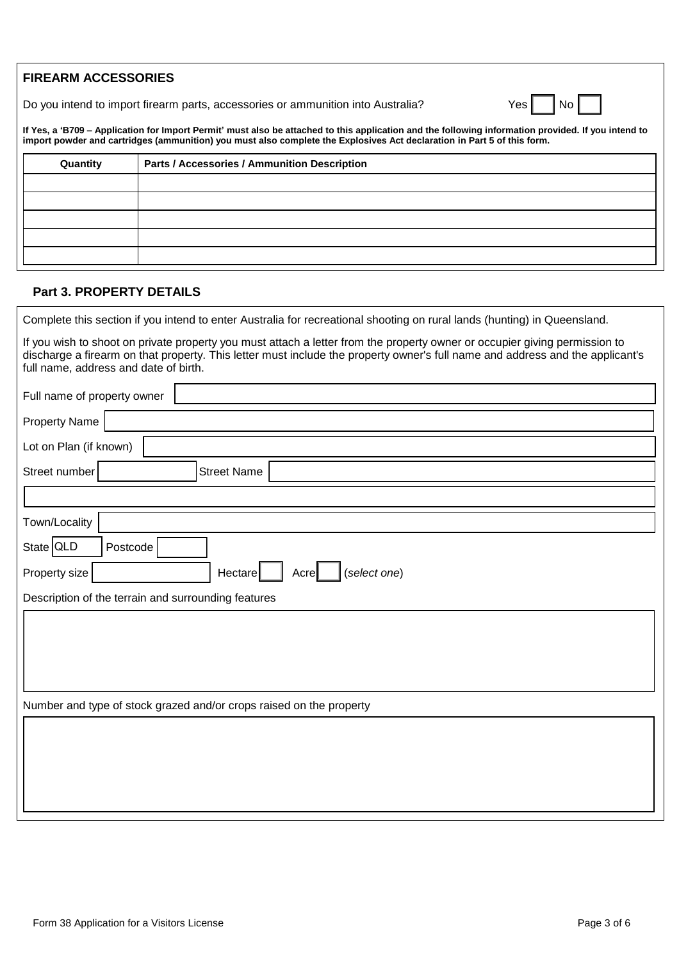Do you intend to import firearm parts, accessories or ammunition into Australia? Yes No

**If Yes, a 'B709 – Application for Import Permit' must also be attached to this application and the following information provided. If you intend to import powder and cartridges (ammunition) you must also complete the Explosives Act declaration in Part 5 of this form.**

| Quantity | Parts / Accessories / Ammunition Description |
|----------|----------------------------------------------|
|          |                                              |
|          |                                              |
|          |                                              |
|          |                                              |
|          |                                              |

# **Part 3. PROPERTY DETAILS**

| Complete this section if you intend to enter Australia for recreational shooting on rural lands (hunting) in Queensland.                                                                                                                                                                             |
|------------------------------------------------------------------------------------------------------------------------------------------------------------------------------------------------------------------------------------------------------------------------------------------------------|
| If you wish to shoot on private property you must attach a letter from the property owner or occupier giving permission to<br>discharge a firearm on that property. This letter must include the property owner's full name and address and the applicant's<br>full name, address and date of birth. |
| Full name of property owner                                                                                                                                                                                                                                                                          |
| <b>Property Name</b>                                                                                                                                                                                                                                                                                 |
| Lot on Plan (if known)                                                                                                                                                                                                                                                                               |
| Street number<br><b>Street Name</b>                                                                                                                                                                                                                                                                  |
|                                                                                                                                                                                                                                                                                                      |
| Town/Locality                                                                                                                                                                                                                                                                                        |
| State QLD<br>Postcode                                                                                                                                                                                                                                                                                |
| Hectare<br>(select one)<br>Property size<br>Acre                                                                                                                                                                                                                                                     |
| Description of the terrain and surrounding features                                                                                                                                                                                                                                                  |
|                                                                                                                                                                                                                                                                                                      |
|                                                                                                                                                                                                                                                                                                      |
|                                                                                                                                                                                                                                                                                                      |
| Number and type of stock grazed and/or crops raised on the property                                                                                                                                                                                                                                  |
|                                                                                                                                                                                                                                                                                                      |
|                                                                                                                                                                                                                                                                                                      |
|                                                                                                                                                                                                                                                                                                      |
|                                                                                                                                                                                                                                                                                                      |
|                                                                                                                                                                                                                                                                                                      |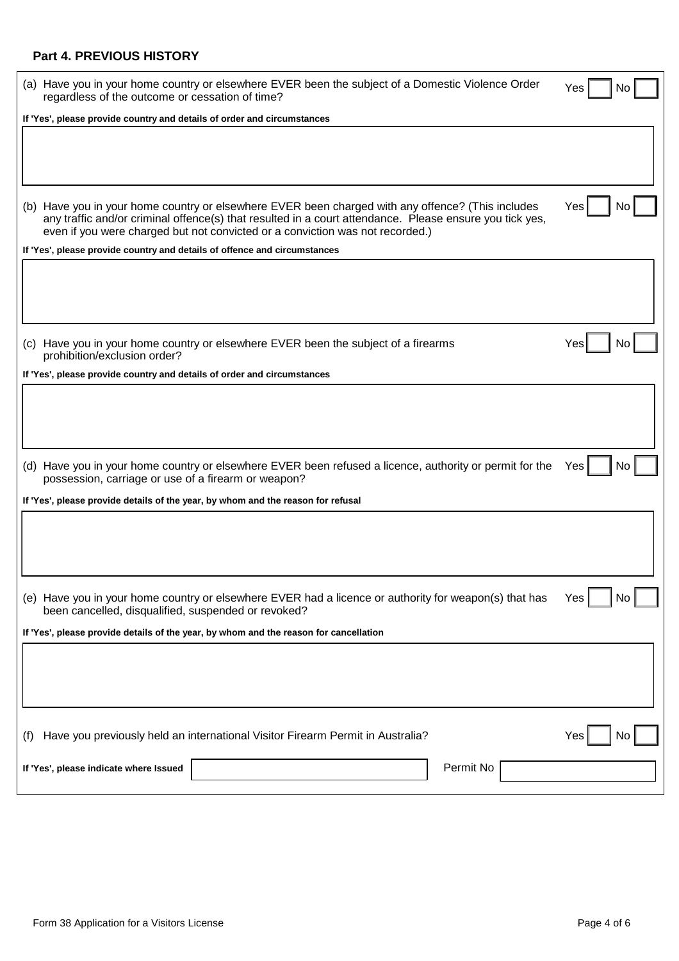# **Part 4. PREVIOUS HISTORY**

|     | (a) Have you in your home country or elsewhere EVER been the subject of a Domestic Violence Order<br>regardless of the outcome or cessation of time?                                                                                                                                          | Yes<br>No |
|-----|-----------------------------------------------------------------------------------------------------------------------------------------------------------------------------------------------------------------------------------------------------------------------------------------------|-----------|
|     | If 'Yes', please provide country and details of order and circumstances                                                                                                                                                                                                                       |           |
|     |                                                                                                                                                                                                                                                                                               |           |
|     | (b) Have you in your home country or elsewhere EVER been charged with any offence? (This includes<br>any traffic and/or criminal offence(s) that resulted in a court attendance. Please ensure you tick yes,<br>even if you were charged but not convicted or a conviction was not recorded.) | Yes<br>No |
|     | If 'Yes', please provide country and details of offence and circumstances                                                                                                                                                                                                                     |           |
|     |                                                                                                                                                                                                                                                                                               |           |
|     | (c) Have you in your home country or elsewhere EVER been the subject of a firearms<br>prohibition/exclusion order?                                                                                                                                                                            | Yes       |
|     | If 'Yes', please provide country and details of order and circumstances                                                                                                                                                                                                                       |           |
|     |                                                                                                                                                                                                                                                                                               |           |
|     | (d) Have you in your home country or elsewhere EVER been refused a licence, authority or permit for the<br>possession, carriage or use of a firearm or weapon?                                                                                                                                | Yes<br>No |
|     | If 'Yes', please provide details of the year, by whom and the reason for refusal                                                                                                                                                                                                              |           |
|     |                                                                                                                                                                                                                                                                                               |           |
|     | (e) Have you in your home country or elsewhere EVER had a licence or authority for weapon(s) that has<br>been cancelled, disqualified, suspended or revoked?                                                                                                                                  | No<br>Yes |
|     | If 'Yes', please provide details of the year, by whom and the reason for cancellation                                                                                                                                                                                                         |           |
|     |                                                                                                                                                                                                                                                                                               |           |
| (1) | Have you previously held an international Visitor Firearm Permit in Australia?                                                                                                                                                                                                                | Yes<br>No |
|     | Permit No<br>If 'Yes', please indicate where Issued                                                                                                                                                                                                                                           |           |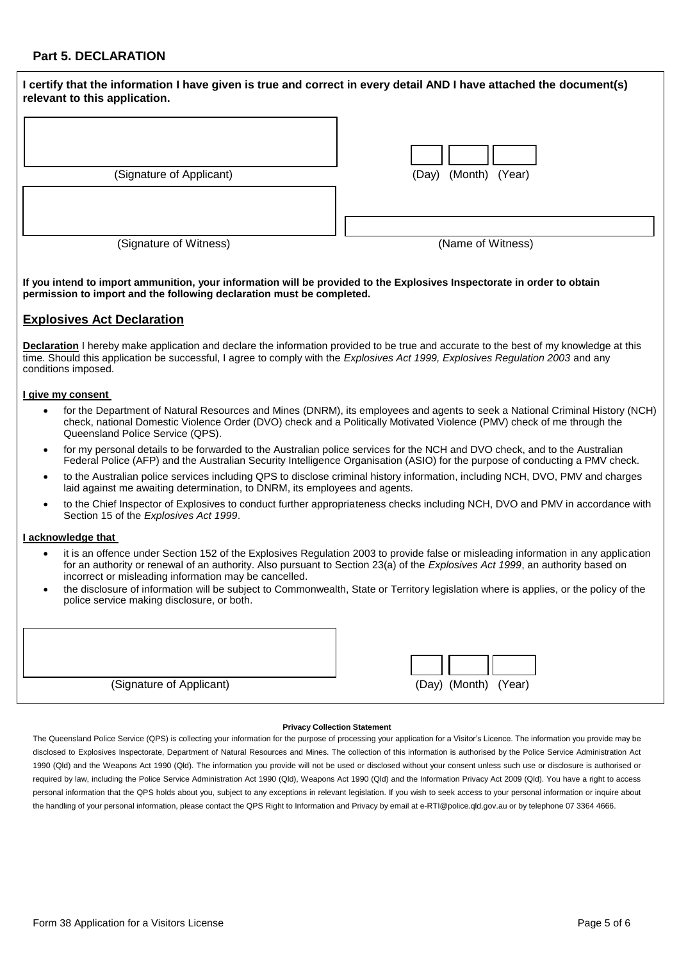# **Part 5. DECLARATION**

| I certify that the information I have given is true and correct in every detail AND I have attached the document(s)<br>relevant to this application. |                         |
|------------------------------------------------------------------------------------------------------------------------------------------------------|-------------------------|
| (Signature of Applicant)                                                                                                                             | (Month) (Year)<br>(Day) |
|                                                                                                                                                      |                         |
| (Signature of Witness)                                                                                                                               | (Name of Witness)       |

**If you intend to import ammunition, your information will be provided to the Explosives Inspectorate in order to obtain permission to import and the following declaration must be completed.**

## **Explosives Act Declaration**

**Declaration** I hereby make application and declare the information provided to be true and accurate to the best of my knowledge at this time. Should this application be successful, I agree to comply with the *Explosives Act 1999, Explosives Regulation 2003* and any conditions imposed.

### **I give my consent**

- for the Department of Natural Resources and Mines (DNRM), its employees and agents to seek a National Criminal History (NCH) check, national Domestic Violence Order (DVO) check and a Politically Motivated Violence (PMV) check of me through the Queensland Police Service (QPS).
- for my personal details to be forwarded to the Australian police services for the NCH and DVO check, and to the Australian Federal Police (AFP) and the Australian Security Intelligence Organisation (ASIO) for the purpose of conducting a PMV check.
- to the Australian police services including QPS to disclose criminal history information, including NCH, DVO, PMV and charges laid against me awaiting determination, to DNRM, its employees and agents.
- to the Chief Inspector of Explosives to conduct further appropriateness checks including NCH, DVO and PMV in accordance with Section 15 of the *Explosives Act 1999*.

### **I acknowledge that**

- it is an offence under Section 152 of the Explosives Regulation 2003 to provide false or misleading information in any application for an authority or renewal of an authority. Also pursuant to Section 23(a) of the *Explosives Act 1999*, an authority based on incorrect or misleading information may be cancelled.
- the disclosure of information will be subject to Commonwealth, State or Territory legislation where is applies, or the policy of the police service making disclosure, or both.

| (Signature of Applicant) |
|--------------------------|



### **Privacy Collection Statement**

The Queensland Police Service (QPS) is collecting your information for the purpose of processing your application for a Visitor's Licence. The information you provide may be disclosed to Explosives Inspectorate, Department of Natural Resources and Mines. The collection of this information is authorised by the Police Service Administration Act 1990 (Qld) and the Weapons Act 1990 (Qld). The information you provide will not be used or disclosed without your consent unless such use or disclosure is authorised or required by law, including the Police Service Administration Act 1990 (Qld), Weapons Act 1990 (Qld) and the Information Privacy Act 2009 (Qld). You have a right to access personal information that the QPS holds about you, subject to any exceptions in relevant legislation. If you wish to seek access to your personal information or inquire about the handling of your personal information, please contact the QPS Right to Information and Privacy by email at e-RTI@police.qld.gov.au or by telephone 07 3364 4666.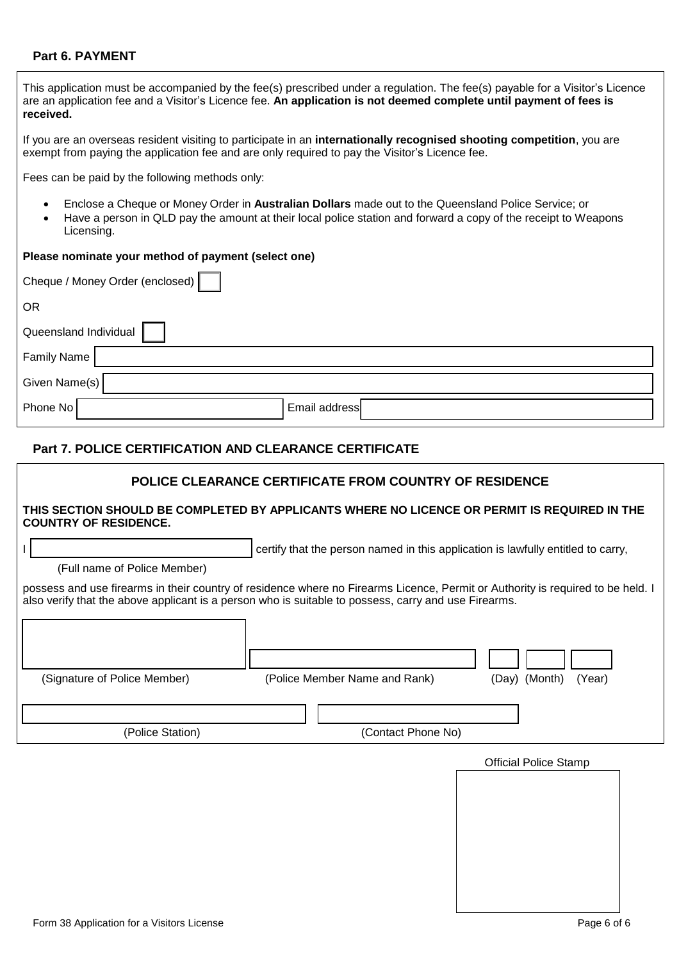# **Part 6. PAYMENT**

| This application must be accompanied by the fee(s) prescribed under a regulation. The fee(s) payable for a Visitor's Licence<br>are an application fee and a Visitor's Licence fee. An application is not deemed complete until payment of fees is<br>received. |  |  |  |  |  |  |
|-----------------------------------------------------------------------------------------------------------------------------------------------------------------------------------------------------------------------------------------------------------------|--|--|--|--|--|--|
| If you are an overseas resident visiting to participate in an internationally recognised shooting competition, you are<br>exempt from paying the application fee and are only required to pay the Visitor's Licence fee.                                        |  |  |  |  |  |  |
| Fees can be paid by the following methods only:                                                                                                                                                                                                                 |  |  |  |  |  |  |
| Enclose a Cheque or Money Order in Australian Dollars made out to the Queensland Police Service; or<br>Have a person in QLD pay the amount at their local police station and forward a copy of the receipt to Weapons<br>Licensing.                             |  |  |  |  |  |  |
| Please nominate your method of payment (select one)                                                                                                                                                                                                             |  |  |  |  |  |  |
| Cheque / Money Order (enclosed)                                                                                                                                                                                                                                 |  |  |  |  |  |  |
| <b>OR</b>                                                                                                                                                                                                                                                       |  |  |  |  |  |  |
| Queensland Individual                                                                                                                                                                                                                                           |  |  |  |  |  |  |
| <b>Family Name</b>                                                                                                                                                                                                                                              |  |  |  |  |  |  |
| Given Name(s)                                                                                                                                                                                                                                                   |  |  |  |  |  |  |
| Email address<br>Phone No                                                                                                                                                                                                                                       |  |  |  |  |  |  |
| <b>Part 7. POLICE CERTIFICATION AND CLEARANCE CERTIFICATE</b>                                                                                                                                                                                                   |  |  |  |  |  |  |
| POLICE CLEARANCE CERTIFICATE FROM COUNTRY OF RESIDENCE                                                                                                                                                                                                          |  |  |  |  |  |  |

## **THIS SECTION SHOULD BE COMPLETED BY APPLICANTS WHERE NO LICENCE OR PERMIT IS REQUIRED IN THE COUNTRY OF RESIDENCE.**

I certify that the person named in this application is lawfully entitled to carry,

(Full name of Police Member)

possess and use firearms in their country of residence where no Firearms Licence, Permit or Authority is required to be held. I also verify that the above applicant is a person who is suitable to possess, carry and use Firearms.

| (Signature of Police Member) | (Police Member Name and Rank) | (Day) (Month)<br>(Year) |
|------------------------------|-------------------------------|-------------------------|
| (Police Station)             | (Contact Phone No)            |                         |

| <b>Official Police Stamp</b> |  |  |  |  |
|------------------------------|--|--|--|--|
|                              |  |  |  |  |
|                              |  |  |  |  |
|                              |  |  |  |  |
|                              |  |  |  |  |
|                              |  |  |  |  |
|                              |  |  |  |  |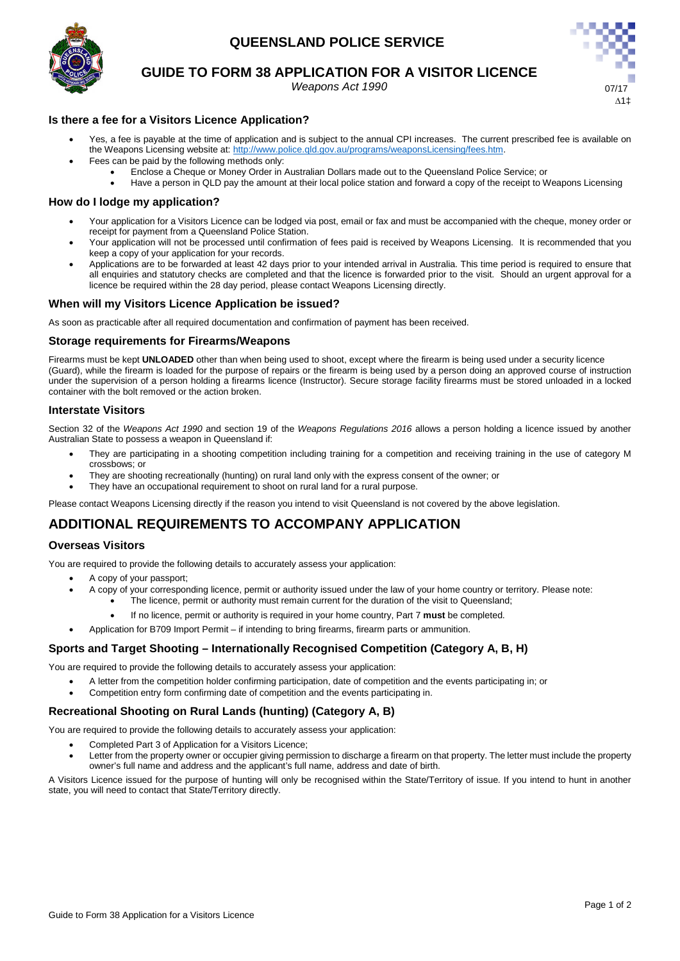# **QUEENSLAND POLICE SERVICE**



## **GUIDE TO FORM 38 APPLICATION FOR A VISITOR LICENCE**

*Weapons Act 1990* 



## **Is there a fee for a Visitors Licence Application?**

- Yes, a fee is payable at the time of application and is subject to the annual CPI increases. The current prescribed fee is available on the Weapons Licensing website at: [http://www.police.qld.gov.au/programs/weaponsLicensing/fees.htm.](http://www.police.qld.gov.au/programs/weaponsLicensing/fees.htm)
	- Fees can be paid by the following methods only:
		- Enclose a Cheque or Money Order in Australian Dollars made out to the Queensland Police Service; or
		- Have a person in QLD pay the amount at their local police station and forward a copy of the receipt to Weapons Licensing

## **How do I lodge my application?**

- Your application for a Visitors Licence can be lodged via post, email or fax and must be accompanied with the cheque, money order or receipt for payment from a Queensland Police Station.
- Your application will not be processed until confirmation of fees paid is received by Weapons Licensing. It is recommended that you keep a copy of your application for your records.
- Applications are to be forwarded at least 42 days prior to your intended arrival in Australia. This time period is required to ensure that all enquiries and statutory checks are completed and that the licence is forwarded prior to the visit. Should an urgent approval for a licence be required within the 28 day period, please contact Weapons Licensing directly.

## **When will my Visitors Licence Application be issued?**

As soon as practicable after all required documentation and confirmation of payment has been received.

## **Storage requirements for Firearms/Weapons**

Firearms must be kept **UNLOADED** other than when being used to shoot, except where the firearm is being used under a security licence (Guard), while the firearm is loaded for the purpose of repairs or the firearm is being used by a person doing an approved course of instruction under the supervision of a person holding a firearms licence (Instructor). Secure storage facility firearms must be stored unloaded in a locked container with the bolt removed or the action broken.

## **Interstate Visitors**

Section 32 of the *Weapons Act 1990* and section 19 of the *Weapons Regulations 2016* allows a person holding a licence issued by another Australian State to possess a weapon in Queensland if:

- They are participating in a shooting competition including training for a competition and receiving training in the use of category M crossbows; or
- They are shooting recreationally (hunting) on rural land only with the express consent of the owner; or
- They have an occupational requirement to shoot on rural land for a rural purpose.

Please contact Weapons Licensing directly if the reason you intend to visit Queensland is not covered by the above legislation.

# **ADDITIONAL REQUIREMENTS TO ACCOMPANY APPLICATION**

## **Overseas Visitors**

You are required to provide the following details to accurately assess your application:

- A copy of your passport;
	- A copy of your corresponding licence, permit or authority issued under the law of your home country or territory. Please note:
		- The licence, permit or authority must remain current for the duration of the visit to Queensland;
		- If no licence, permit or authority is required in your home country, Part 7 **must** be completed.
- Application for B709 Import Permit if intending to bring firearms, firearm parts or ammunition.

## **Sports and Target Shooting – Internationally Recognised Competition (Category A, B, H)**

You are required to provide the following details to accurately assess your application:

- A letter from the competition holder confirming participation, date of competition and the events participating in; or
- Competition entry form confirming date of competition and the events participating in.

## **Recreational Shooting on Rural Lands (hunting) (Category A, B)**

You are required to provide the following details to accurately assess your application:

- Completed Part 3 of Application for a Visitors Licence;
- Letter from the property owner or occupier giving permission to discharge a firearm on that property. The letter must include the property owner's full name and address and the applicant's full name, address and date of birth.

A Visitors Licence issued for the purpose of hunting will only be recognised within the State/Territory of issue. If you intend to hunt in another state, you will need to contact that State/Territory directly.